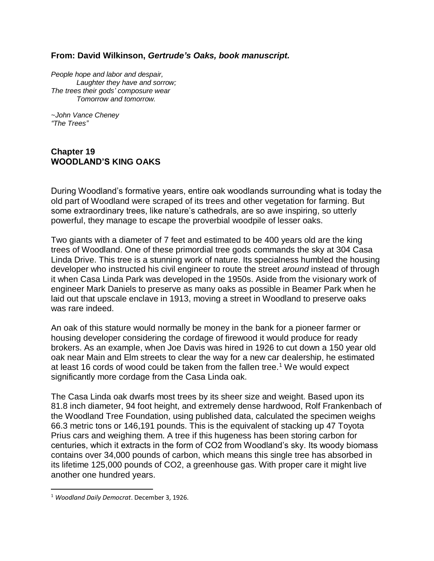## **From: David Wilkinson,** *Gertrude's Oaks, book manuscript.*

*People hope and labor and despair, Laughter they have and sorrow; The trees their gods' composure wear Tomorrow and tomorrow.* 

*~John Vance Cheney "The Trees"*

## **Chapter 19 WOODLAND'S KING OAKS**

During Woodland's formative years, entire oak woodlands surrounding what is today the old part of Woodland were scraped of its trees and other vegetation for farming. But some extraordinary trees, like nature's cathedrals, are so awe inspiring, so utterly powerful, they manage to escape the proverbial woodpile of lesser oaks.

Two giants with a diameter of 7 feet and estimated to be 400 years old are the king trees of Woodland. One of these primordial tree gods commands the sky at 304 Casa Linda Drive. This tree is a stunning work of nature. Its specialness humbled the housing developer who instructed his civil engineer to route the street *around* instead of through it when Casa Linda Park was developed in the 1950s. Aside from the visionary work of engineer Mark Daniels to preserve as many oaks as possible in Beamer Park when he laid out that upscale enclave in 1913, moving a street in Woodland to preserve oaks was rare indeed.

An oak of this stature would normally be money in the bank for a pioneer farmer or housing developer considering the cordage of firewood it would produce for ready brokers. As an example, when Joe Davis was hired in 1926 to cut down a 150 year old oak near Main and Elm streets to clear the way for a new car dealership, he estimated at least 16 cords of wood could be taken from the fallen tree.<sup>1</sup> We would expect significantly more cordage from the Casa Linda oak.

The Casa Linda oak dwarfs most trees by its sheer size and weight. Based upon its 81.8 inch diameter, 94 foot height, and extremely dense hardwood, Rolf Frankenbach of the Woodland Tree Foundation, using published data, calculated the specimen weighs 66.3 metric tons or 146,191 pounds. This is the equivalent of stacking up 47 Toyota Prius cars and weighing them. A tree if this hugeness has been storing carbon for centuries, which it extracts in the form of CO2 from Woodland's sky. Its woody biomass contains over 34,000 pounds of carbon, which means this single tree has absorbed in its lifetime 125,000 pounds of CO2, a greenhouse gas. With proper care it might live another one hundred years.

<sup>1</sup> *Woodland Daily Democrat*. December 3, 1926.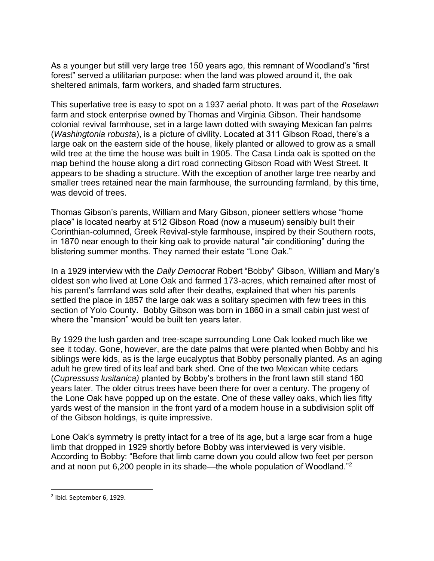As a younger but still very large tree 150 years ago, this remnant of Woodland's "first forest" served a utilitarian purpose: when the land was plowed around it, the oak sheltered animals, farm workers, and shaded farm structures.

This superlative tree is easy to spot on a 1937 aerial photo. It was part of the *Roselawn*  farm and stock enterprise owned by Thomas and Virginia Gibson. Their handsome colonial revival farmhouse, set in a large lawn dotted with swaying Mexican fan palms (*Washingtonia robusta*), is a picture of civility. Located at 311 Gibson Road, there's a large oak on the eastern side of the house, likely planted or allowed to grow as a small wild tree at the time the house was built in 1905. The Casa Linda oak is spotted on the map behind the house along a dirt road connecting Gibson Road with West Street. It appears to be shading a structure. With the exception of another large tree nearby and smaller trees retained near the main farmhouse, the surrounding farmland, by this time, was devoid of trees.

Thomas Gibson's parents, William and Mary Gibson, pioneer settlers whose "home place" is located nearby at 512 Gibson Road (now a museum) sensibly built their Corinthian-columned, Greek Revival-style farmhouse, inspired by their Southern roots, in 1870 near enough to their king oak to provide natural "air conditioning" during the blistering summer months. They named their estate "Lone Oak."

In a 1929 interview with the *Daily Democrat* Robert "Bobby" Gibson, William and Mary's oldest son who lived at Lone Oak and farmed 173-acres, which remained after most of his parent's farmland was sold after their deaths, explained that when his parents settled the place in 1857 the large oak was a solitary specimen with few trees in this section of Yolo County. Bobby Gibson was born in 1860 in a small cabin just west of where the "mansion" would be built ten years later.

By 1929 the lush garden and tree-scape surrounding Lone Oak looked much like we see it today. Gone, however, are the date palms that were planted when Bobby and his siblings were kids, as is the large eucalyptus that Bobby personally planted. As an aging adult he grew tired of its leaf and bark shed. One of the two Mexican white cedars (*Cupressuss lusitanica)* planted by Bobby's brothers in the front lawn still stand 160 years later. The older citrus trees have been there for over a century. The progeny of the Lone Oak have popped up on the estate. One of these valley oaks, which lies fifty yards west of the mansion in the front yard of a modern house in a subdivision split off of the Gibson holdings, is quite impressive.

Lone Oak's symmetry is pretty intact for a tree of its age, but a large scar from a huge limb that dropped in 1929 shortly before Bobby was interviewed is very visible. According to Bobby: "Before that limb came down you could allow two feet per person and at noon put 6,200 people in its shade—the whole population of Woodland."<sup>2</sup>

 $2$  Ibid. September 6, 1929.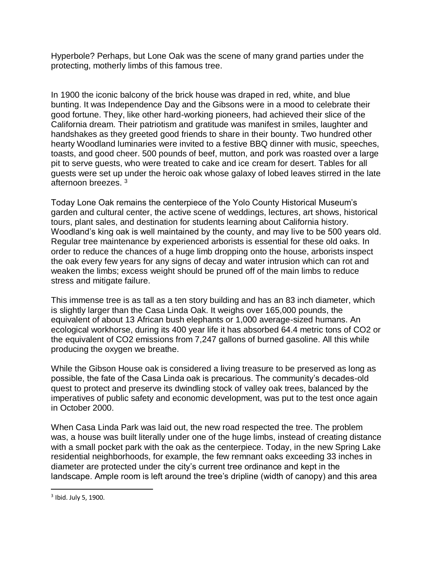Hyperbole? Perhaps, but Lone Oak was the scene of many grand parties under the protecting, motherly limbs of this famous tree.

In 1900 the iconic balcony of the brick house was draped in red, white, and blue bunting. It was Independence Day and the Gibsons were in a mood to celebrate their good fortune. They, like other hard-working pioneers, had achieved their slice of the California dream. Their patriotism and gratitude was manifest in smiles, laughter and handshakes as they greeted good friends to share in their bounty. Two hundred other hearty Woodland luminaries were invited to a festive BBQ dinner with music, speeches, toasts, and good cheer. 500 pounds of beef, mutton, and pork was roasted over a large pit to serve guests, who were treated to cake and ice cream for desert. Tables for all guests were set up under the heroic oak whose galaxy of lobed leaves stirred in the late afternoon breezes. <sup>3</sup>

Today Lone Oak remains the centerpiece of the Yolo County Historical Museum's garden and cultural center, the active scene of weddings, lectures, art shows, historical tours, plant sales, and destination for students learning about California history. Woodland's king oak is well maintained by the county, and may live to be 500 years old. Regular tree maintenance by experienced arborists is essential for these old oaks. In order to reduce the chances of a huge limb dropping onto the house, arborists inspect the oak every few years for any signs of decay and water intrusion which can rot and weaken the limbs; excess weight should be pruned off of the main limbs to reduce stress and mitigate failure.

This immense tree is as tall as a ten story building and has an 83 inch diameter, which is slightly larger than the Casa Linda Oak. It weighs over 165,000 pounds, the equivalent of about 13 African bush elephants or 1,000 average-sized humans. An ecological workhorse, during its 400 year life it has absorbed 64.4 metric tons of CO2 or the equivalent of CO2 emissions from 7,247 gallons of burned gasoline. All this while producing the oxygen we breathe.

While the Gibson House oak is considered a living treasure to be preserved as long as possible, the fate of the Casa Linda oak is precarious. The community's decades-old quest to protect and preserve its dwindling stock of valley oak trees, balanced by the imperatives of public safety and economic development, was put to the test once again in October 2000.

When Casa Linda Park was laid out, the new road respected the tree. The problem was, a house was built literally under one of the huge limbs, instead of creating distance with a small pocket park with the oak as the centerpiece. Today, in the new Spring Lake residential neighborhoods, for example, the few remnant oaks exceeding 33 inches in diameter are protected under the city's current tree ordinance and kept in the landscape. Ample room is left around the tree's dripline (width of canopy) and this area

<sup>&</sup>lt;sup>3</sup> Ibid. July 5, 1900.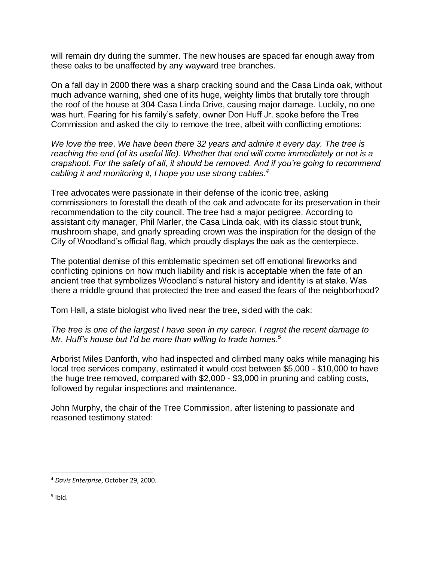will remain dry during the summer. The new houses are spaced far enough away from these oaks to be unaffected by any wayward tree branches.

On a fall day in 2000 there was a sharp cracking sound and the Casa Linda oak, without much advance warning, shed one of its huge, weighty limbs that brutally tore through the roof of the house at 304 Casa Linda Drive, causing major damage. Luckily, no one was hurt. Fearing for his family's safety, owner Don Huff Jr. spoke before the Tree Commission and asked the city to remove the tree, albeit with conflicting emotions:

*We love the tree*. *We have been there 32 years and admire it every day. The tree is reaching the end (of its useful life). Whether that end will come immediately or not is a crapshoot. For the safety of all, it should be removed. And if you're going to recommend cabling it and monitoring it, I hope you use strong cables.<sup>4</sup>*

Tree advocates were passionate in their defense of the iconic tree, asking commissioners to forestall the death of the oak and advocate for its preservation in their recommendation to the city council. The tree had a major pedigree. According to assistant city manager, Phil Marler, the Casa Linda oak, with its classic stout trunk, mushroom shape, and gnarly spreading crown was the inspiration for the design of the City of Woodland's official flag, which proudly displays the oak as the centerpiece.

The potential demise of this emblematic specimen set off emotional fireworks and conflicting opinions on how much liability and risk is acceptable when the fate of an ancient tree that symbolizes Woodland's natural history and identity is at stake. Was there a middle ground that protected the tree and eased the fears of the neighborhood?

Tom Hall, a state biologist who lived near the tree, sided with the oak:

## *The tree is one of the largest I have seen in my career. I regret the recent damage to Mr. Huff's house but I'd be more than willing to trade homes.<sup>5</sup>*

Arborist Miles Danforth, who had inspected and climbed many oaks while managing his local tree services company, estimated it would cost between \$5,000 - \$10,000 to have the huge tree removed, compared with \$2,000 - \$3,000 in pruning and cabling costs, followed by regular inspections and maintenance.

John Murphy, the chair of the Tree Commission, after listening to passionate and reasoned testimony stated:

 $\overline{\phantom{a}}$ <sup>4</sup> *Davis Enterprise*, October 29, 2000.

<sup>&</sup>lt;sup>5</sup> Ibid.